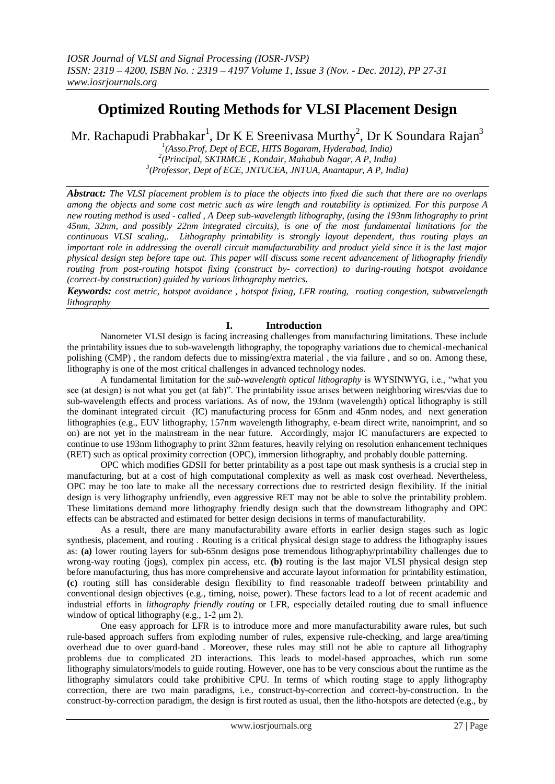# **Optimized Routing Methods for VLSI Placement Design**

Mr. Rachapudi Prabhakar $^{\rm l}$ , Dr K E Sreenivasa Murthy $^{\rm 2}$ , Dr K Soundara Rajan $^{\rm 3}$ 

*1 (Asso.Prof, Dept of ECE, HITS Bogaram, Hyderabad, India) 2 (Principal, SKTRMCE , Kondair, Mahabub Nagar, A P, India) 3 (Professor, Dept of ECE, JNTUCEA, JNTUA, Anantapur, A P, India)*

*Abstract: The VLSI placement problem is to place the objects into fixed die such that there are no overlaps among the objects and some cost metric such as wire length and routability is optimized. For this purpose A new routing method is used - called , A Deep sub-wavelength lithography, (using the 193nm lithography to print 45nm, 32nm, and possibly 22nm integrated circuits), is one of the most fundamental limitations for the continuous VLSI scaling,. Lithography printability is strongly layout dependent, thus routing plays an important role in addressing the overall circuit manufacturability and product yield since it is the last major physical design step before tape out. This paper will discuss some recent advancement of lithography friendly routing from post-routing hotspot fixing (construct by- correction) to during-routing hotspot avoidance (correct-by construction) guided by various lithography metrics.*

*Keywords: cost metric, hotspot avoidance , hotspot fixing, LFR routing, routing congestion, subwavelength lithography*

# **I. Introduction**

Nanometer VLSI design is facing increasing challenges from manufacturing limitations. These include the printability issues due to sub-wavelength lithography, the topography variations due to chemical-mechanical polishing (CMP) , the random defects due to missing/extra material , the via failure , and so on. Among these, lithography is one of the most critical challenges in advanced technology nodes.

 A fundamental limitation for the *sub-wavelength optical lithography* is WYSINWYG, i.e., "what you see (at design) is not what you get (at fab)". The printability issue arises between neighboring wires/vias due to sub-wavelength effects and process variations. As of now, the 193nm (wavelength) optical lithography is still the dominant integrated circuit (IC) manufacturing process for 65nm and 45nm nodes, and next generation lithographies (e.g., EUV lithography, 157nm wavelength lithography, e-beam direct write, nanoimprint, and so on) are not yet in the mainstream in the near future. Accordingly, major IC manufacturers are expected to continue to use 193nm lithography to print 32nm features, heavily relying on resolution enhancement techniques (RET) such as optical proximity correction (OPC), immersion lithography, and probably double patterning.

 OPC which modifies GDSII for better printability as a post tape out mask synthesis is a crucial step in manufacturing, but at a cost of high computational complexity as well as mask cost overhead. Nevertheless, OPC may be too late to make all the necessary corrections due to restricted design flexibility. If the initial design is very lithography unfriendly, even aggressive RET may not be able to solve the printability problem. These limitations demand more lithography friendly design such that the downstream lithography and OPC effects can be abstracted and estimated for better design decisions in terms of manufacturability.

 As a result, there are many manufacturability aware efforts in earlier design stages such as logic synthesis, placement, and routing . Routing is a critical physical design stage to address the lithography issues as: **(a)** lower routing layers for sub-65nm designs pose tremendous lithography/printability challenges due to wrong-way routing (jogs), complex pin access, etc. **(b)** routing is the last major VLSI physical design step before manufacturing, thus has more comprehensive and accurate layout information for printability estimation, **(c)** routing still has considerable design flexibility to find reasonable tradeoff between printability and conventional design objectives (e.g., timing, noise, power). These factors lead to a lot of recent academic and industrial efforts in *lithography friendly routing* or LFR, especially detailed routing due to small influence window of optical lithography (e.g., 1-2 μm 2).

 One easy approach for LFR is to introduce more and more manufacturability aware rules, but such rule-based approach suffers from exploding number of rules, expensive rule-checking, and large area/timing overhead due to over guard-band . Moreover, these rules may still not be able to capture all lithography problems due to complicated 2D interactions. This leads to model-based approaches, which run some lithography simulators/models to guide routing. However, one has to be very conscious about the runtime as the lithography simulators could take prohibitive CPU. In terms of which routing stage to apply lithography correction, there are two main paradigms, i.e., construct-by-correction and correct-by-construction. In the construct-by-correction paradigm, the design is first routed as usual, then the litho-hotspots are detected (e.g., by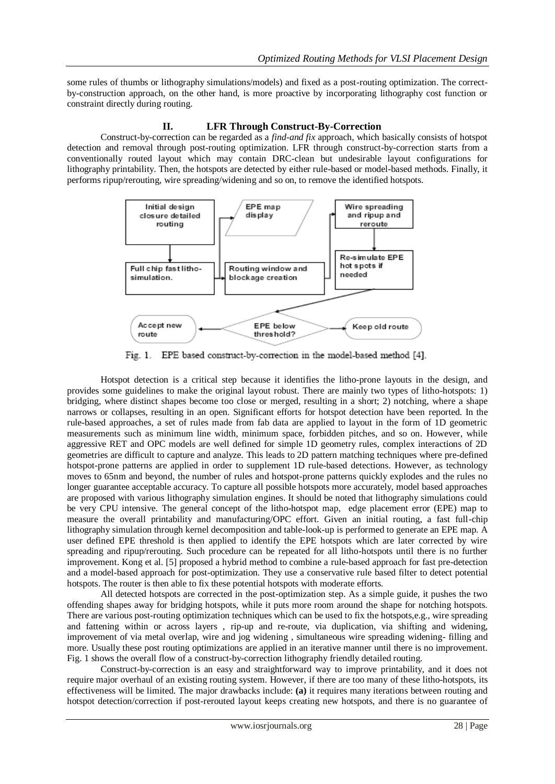some rules of thumbs or lithography simulations/models) and fixed as a post-routing optimization. The correctby-construction approach, on the other hand, is more proactive by incorporating lithography cost function or constraint directly during routing.

### **II. LFR Through Construct-By-Correction**

Construct-by-correction can be regarded as a *find-and fix* approach, which basically consists of hotspot detection and removal through post-routing optimization. LFR through construct-by-correction starts from a conventionally routed layout which may contain DRC-clean but undesirable layout configurations for lithography printability. Then, the hotspots are detected by either rule-based or model-based methods. Finally, it performs ripup/rerouting, wire spreading/widening and so on, to remove the identified hotspots.



 $Fig. 1.$ EPE based construct-by-correction in the model-based method [4].

 Hotspot detection is a critical step because it identifies the litho-prone layouts in the design, and provides some guidelines to make the original layout robust. There are mainly two types of litho-hotspots: 1) bridging, where distinct shapes become too close or merged, resulting in a short; 2) notching, where a shape narrows or collapses, resulting in an open. Significant efforts for hotspot detection have been reported. In the rule-based approaches, a set of rules made from fab data are applied to layout in the form of 1D geometric measurements such as minimum line width, minimum space, forbidden pitches, and so on. However, while aggressive RET and OPC models are well defined for simple 1D geometry rules, complex interactions of 2D geometries are difficult to capture and analyze. This leads to 2D pattern matching techniques where pre-defined hotspot-prone patterns are applied in order to supplement 1D rule-based detections. However, as technology moves to 65nm and beyond, the number of rules and hotspot-prone patterns quickly explodes and the rules no longer guarantee acceptable accuracy. To capture all possible hotspots more accurately, model based approaches are proposed with various lithography simulation engines. It should be noted that lithography simulations could be very CPU intensive. The general concept of the litho-hotspot map, edge placement error (EPE) map to measure the overall printability and manufacturing/OPC effort. Given an initial routing, a fast full-chip lithography simulation through kernel decomposition and table-look-up is performed to generate an EPE map. A user defined EPE threshold is then applied to identify the EPE hotspots which are later corrected by wire spreading and ripup/rerouting. Such procedure can be repeated for all litho-hotspots until there is no further improvement. Kong et al. [5] proposed a hybrid method to combine a rule-based approach for fast pre-detection and a model-based approach for post-optimization. They use a conservative rule based filter to detect potential hotspots. The router is then able to fix these potential hotspots with moderate efforts.

 All detected hotspots are corrected in the post-optimization step. As a simple guide, it pushes the two offending shapes away for bridging hotspots, while it puts more room around the shape for notching hotspots. There are various post-routing optimization techniques which can be used to fix the hotspots,e.g., wire spreading and fattening within or across layers , rip-up and re-route, via duplication, via shifting and widening, improvement of via metal overlap, wire and jog widening , simultaneous wire spreading widening- filling and more. Usually these post routing optimizations are applied in an iterative manner until there is no improvement. Fig. 1 shows the overall flow of a construct-by-correction lithography friendly detailed routing.

 Construct-by-correction is an easy and straightforward way to improve printability, and it does not require major overhaul of an existing routing system. However, if there are too many of these litho-hotspots, its effectiveness will be limited. The major drawbacks include: **(a)** it requires many iterations between routing and hotspot detection/correction if post-rerouted layout keeps creating new hotspots, and there is no guarantee of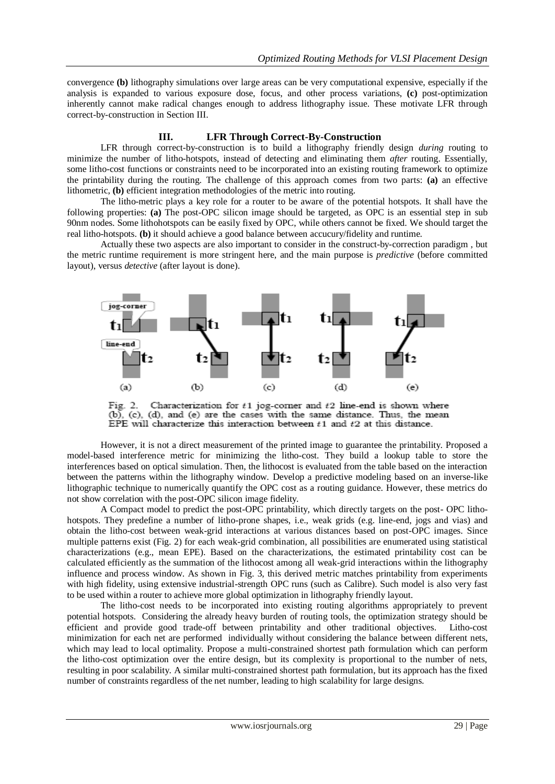convergence **(b)** lithography simulations over large areas can be very computational expensive, especially if the analysis is expanded to various exposure dose, focus, and other process variations, **(c)** post-optimization inherently cannot make radical changes enough to address lithography issue. These motivate LFR through correct-by-construction in Section III.

## **III. LFR Through Correct-By-Construction**

LFR through correct-by-construction is to build a lithography friendly design *during* routing to minimize the number of litho-hotspots, instead of detecting and eliminating them *after* routing. Essentially, some litho-cost functions or constraints need to be incorporated into an existing routing framework to optimize the printability during the routing. The challenge of this approach comes from two parts: **(a)** an effective lithometric, **(b)** efficient integration methodologies of the metric into routing.

 The litho-metric plays a key role for a router to be aware of the potential hotspots. It shall have the following properties: **(a)** The post-OPC silicon image should be targeted, as OPC is an essential step in sub 90nm nodes. Some lithohotspots can be easily fixed by OPC, while others cannot be fixed. We should target the real litho-hotspots. **(b)** it should achieve a good balance between accucury/fidelity and runtime.

 Actually these two aspects are also important to consider in the construct-by-correction paradigm , but the metric runtime requirement is more stringent here, and the main purpose is *predictive* (before committed layout), versus *detective* (after layout is done).



Characterization for  $t1$  jog-corner and  $t2$  line-end is shown where Fig. 2. (b), (c), (d), and (e) are the cases with the same distance. Thus, the mean EPE will characterize this interaction between  $t1$  and  $t2$  at this distance.

 However, it is not a direct measurement of the printed image to guarantee the printability. Proposed a model-based interference metric for minimizing the litho-cost. They build a lookup table to store the interferences based on optical simulation. Then, the lithocost is evaluated from the table based on the interaction between the patterns within the lithography window. Develop a predictive modeling based on an inverse-like lithographic technique to numerically quantify the OPC cost as a routing guidance. However, these metrics do not show correlation with the post-OPC silicon image fidelity.

 A Compact model to predict the post-OPC printability, which directly targets on the post- OPC lithohotspots. They predefine a number of litho-prone shapes, i.e., weak grids (e.g. line-end, jogs and vias) and obtain the litho-cost between weak-grid interactions at various distances based on post-OPC images. Since multiple patterns exist (Fig. 2) for each weak-grid combination, all possibilities are enumerated using statistical characterizations (e.g., mean EPE). Based on the characterizations, the estimated printability cost can be calculated efficiently as the summation of the lithocost among all weak-grid interactions within the lithography influence and process window. As shown in Fig. 3, this derived metric matches printability from experiments with high fidelity, using extensive industrial-strength OPC runs (such as Calibre). Such model is also very fast to be used within a router to achieve more global optimization in lithography friendly layout.

 The litho-cost needs to be incorporated into existing routing algorithms appropriately to prevent potential hotspots. Considering the already heavy burden of routing tools, the optimization strategy should be efficient and provide good trade-off between printability and other traditional objectives. Litho-cost minimization for each net are performed individually without considering the balance between different nets, which may lead to local optimality. Propose a multi-constrained shortest path formulation which can perform the litho-cost optimization over the entire design, but its complexity is proportional to the number of nets, resulting in poor scalability. A similar multi-constrained shortest path formulation, but its approach has the fixed number of constraints regardless of the net number, leading to high scalability for large designs.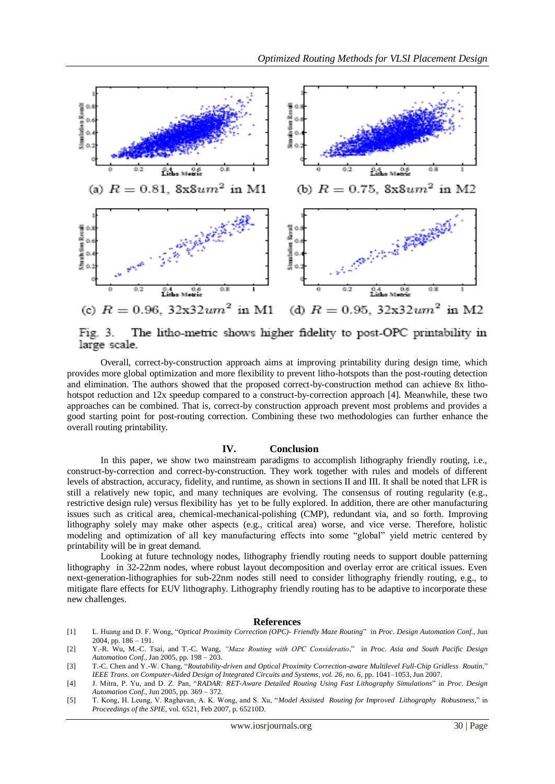

The litho-metric shows higher fidelity to post-OPC printability in Fig. 3. large scale.

 Overall, correct-by-construction approach aims at improving printability during design time, which provides more global optimization and more flexibility to prevent litho-hotspots than the post-routing detection and elimination. The authors showed that the proposed correct-by-construction method can achieve 8x lithohotspot reduction and 12x speedup compared to a construct-by-correction approach [4]. Meanwhile, these two approaches can be combined. That is, correct-by construction approach prevent most problems and provides a good starting point for post-routing correction. Combining these two methodologies can further enhance the overall routing printability.

#### **IV. Conclusion**

In this paper, we show two mainstream paradigms to accomplish lithography friendly routing, i.e., construct-by-correction and correct-by-construction. They work together with rules and models of different levels of abstraction, accuracy, fidelity, and runtime, as shown in sections II and III. It shall be noted that LFR is still a relatively new topic, and many techniques are evolving. The consensus of routing regularity (e.g., restrictive design rule) versus flexibility has yet to be fully explored. In addition, there are other manufacturing issues such as critical area, chemical-mechanical-polishing (CMP), redundant via, and so forth. Improving lithography solely may make other aspects (e.g., critical area) worse, and vice verse. Therefore, holistic modeling and optimization of all key manufacturing effects into some "global" yield metric centered by printability will be in great demand.

 Looking at future technology nodes, lithography friendly routing needs to support double patterning lithography in 32-22nm nodes, where robust layout decomposition and overlay error are critical issues. Even next-generation-lithographies for sub-22nm nodes still need to consider lithography friendly routing, e.g., to mitigate flare effects for EUV lithography. Lithography friendly routing has to be adaptive to incorporate these new challenges.

#### **References**

- [1] L. Huang and D. F. Wong, "*Optical Proximity Correction (OPC)- Friendly Maze Routing*" in *Proc. Design Automation Conf.*, Jun 2004, pp. 186 – 191.
- [2] Y.-R. Wu, M.-C. Tsai, and T.-C. Wang, *"Maze Routing with OPC Consideratio*," in *Proc. Asia and South Pacific Design Automation Conf.*, Jan 2005, pp. 198 – 203.
- [3] T.-C. Chen and Y.-W. Chang, "*Routability-driven and Optical Proximity Correction-aware Multilevel Full-Chip Gridless Routin*," *IEEE Trans. on Computer-Aided Design of Integrated Circuits and Systems, vol. 26, no. 6*, pp. 1041–1053, Jun 2007.
- [4] J. Mitra, P. Yu, and D. Z. Pan, "*RADAR: RET-Aware Detailed Routing Using Fast Lithography Simulations*" in *Proc. Design Automation Conf.*, Jun 2005, pp. 369 – 372.
- [5] T. Kong, H. Leung, V. Raghavan, A. K. Wong, and S. Xu, "*Model Assisted Routing for Improved Lithography Robustness*," in *Proceedings of the SPIE*, vol. 6521, Feb 2007, p. 65210D.